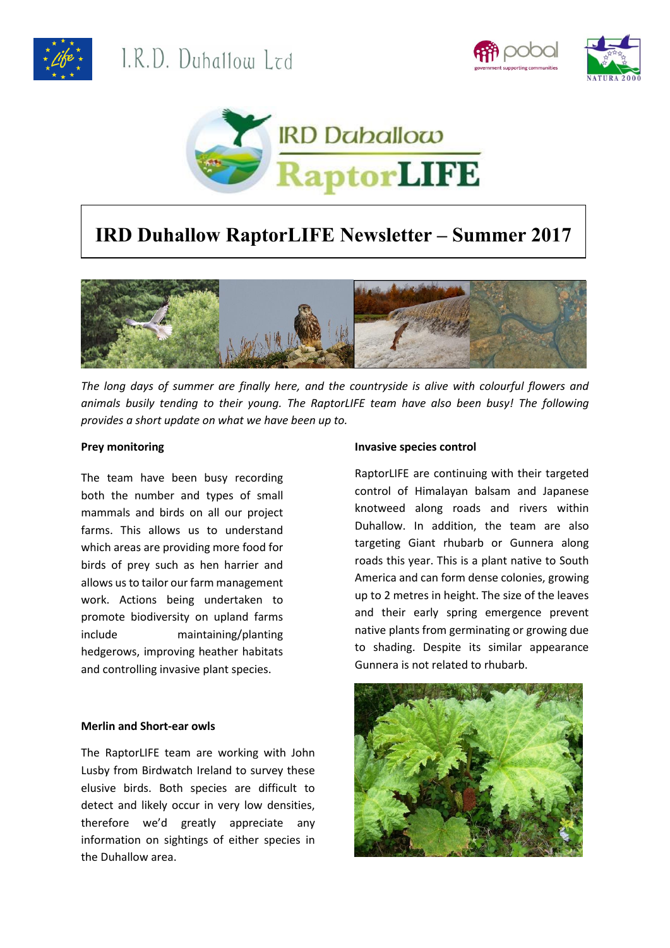





# **IRD Duhallow RaptorLIFE Newsletter – Summer 2017**



*The long days of summer are finally here, and the countryside is alive with colourful flowers and animals busily tending to their young. The RaptorLIFE team have also been busy! The following provides a short update on what we have been up to.*

## **Prey monitoring**

The team have been busy recording both the number and types of small mammals and birds on all our project farms. This allows us to understand which areas are providing more food for birds of prey such as hen harrier and allows us to tailor our farm management work. Actions being undertaken to promote biodiversity on upland farms include maintaining/planting hedgerows, improving heather habitats and controlling invasive plant species.

## **Merlin and Short-ear owls**

The RaptorLIFE team are working with John Lusby from Birdwatch Ireland to survey these elusive birds. Both species are difficult to detect and likely occur in very low densities, therefore we'd greatly appreciate any information on sightings of either species in the Duhallow area.

#### **Invasive species control**

RaptorLIFE are continuing with their targeted control of Himalayan balsam and Japanese knotweed along roads and rivers within Duhallow. In addition, the team are also targeting Giant rhubarb or Gunnera along roads this year. This is a plant native to South America and can form dense colonies, growing up to 2 metres in height. The size of the leaves and their early spring emergence prevent native plants from germinating or growing due to shading. Despite its similar appearance Gunnera is not related to rhubarb.